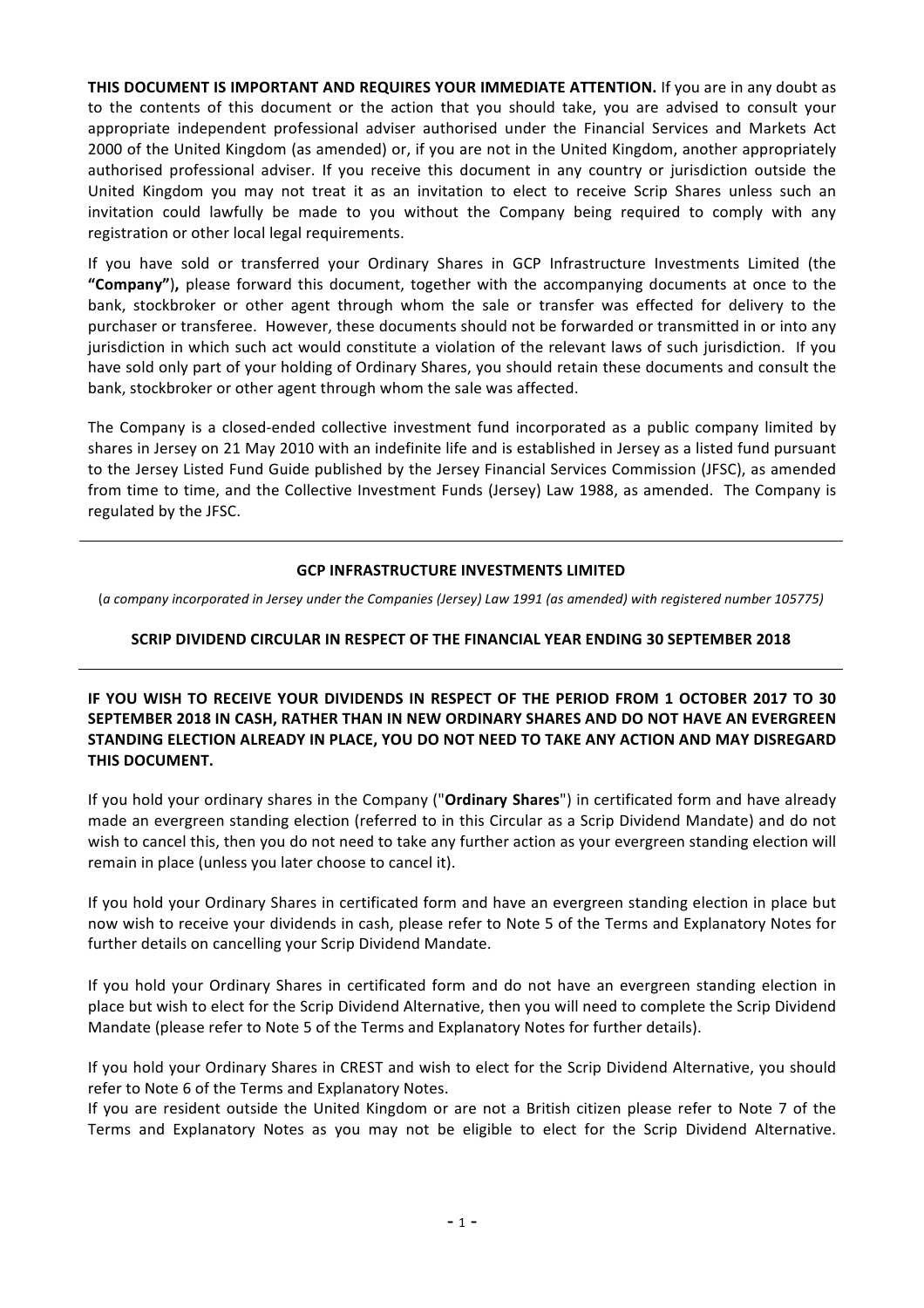**THIS DOCUMENT IS IMPORTANT AND REQUIRES YOUR IMMEDIATE ATTENTION.** If you are in any doubt as to the contents of this document or the action that you should take, you are advised to consult your appropriate independent professional adviser authorised under the Financial Services and Markets Act 2000 of the United Kingdom (as amended) or, if you are not in the United Kingdom, another appropriately authorised professional adviser. If you receive this document in any country or jurisdiction outside the United Kingdom you may not treat it as an invitation to elect to receive Scrip Shares unless such an invitation could lawfully be made to you without the Company being required to comply with any registration or other local legal requirements.

If you have sold or transferred your Ordinary Shares in GCP Infrastructure Investments Limited (the "Company"), please forward this document, together with the accompanying documents at once to the bank, stockbroker or other agent through whom the sale or transfer was effected for delivery to the purchaser or transferee. However, these documents should not be forwarded or transmitted in or into any jurisdiction in which such act would constitute a violation of the relevant laws of such jurisdiction. If you have sold only part of your holding of Ordinary Shares, you should retain these documents and consult the bank, stockbroker or other agent through whom the sale was affected.

The Company is a closed-ended collective investment fund incorporated as a public company limited by shares in Jersey on 21 May 2010 with an indefinite life and is established in Jersey as a listed fund pursuant to the Jersey Listed Fund Guide published by the Jersey Financial Services Commission (JFSC), as amended from time to time, and the Collective Investment Funds (Jersey) Law 1988, as amended. The Company is regulated by the JFSC.

## **GCP INFRASTRUCTURE INVESTMENTS LIMITED**

(a company incorporated in Jersey under the Companies (Jersey) Law 1991 (as amended) with registered number 105775)

## **SCRIP DIVIDEND CIRCULAR IN RESPECT OF THE FINANCIAL YEAR ENDING 30 SEPTEMBER 2018**

**IF YOU WISH TO RECEIVE YOUR DIVIDENDS IN RESPECT OF THE PERIOD FROM 1 OCTOBER 2017 TO 30 SEPTEMBER 2018 IN CASH, RATHER THAN IN NEW ORDINARY SHARES AND DO NOT HAVE AN EVERGREEN STANDING ELECTION ALREADY IN PLACE, YOU DO NOT NEED TO TAKE ANY ACTION AND MAY DISREGARD THIS DOCUMENT.**

If you hold your ordinary shares in the Company ("Ordinary Shares") in certificated form and have already made an evergreen standing election (referred to in this Circular as a Scrip Dividend Mandate) and do not wish to cancel this, then you do not need to take any further action as your evergreen standing election will remain in place (unless you later choose to cancel it).

If you hold your Ordinary Shares in certificated form and have an evergreen standing election in place but now wish to receive your dividends in cash, please refer to Note 5 of the Terms and Explanatory Notes for further details on cancelling your Scrip Dividend Mandate.

If you hold your Ordinary Shares in certificated form and do not have an evergreen standing election in place but wish to elect for the Scrip Dividend Alternative, then you will need to complete the Scrip Dividend Mandate (please refer to Note 5 of the Terms and Explanatory Notes for further details).

If you hold your Ordinary Shares in CREST and wish to elect for the Scrip Dividend Alternative, you should refer to Note 6 of the Terms and Explanatory Notes.

If you are resident outside the United Kingdom or are not a British citizen please refer to Note 7 of the Terms and Explanatory Notes as you may not be eligible to elect for the Scrip Dividend Alternative.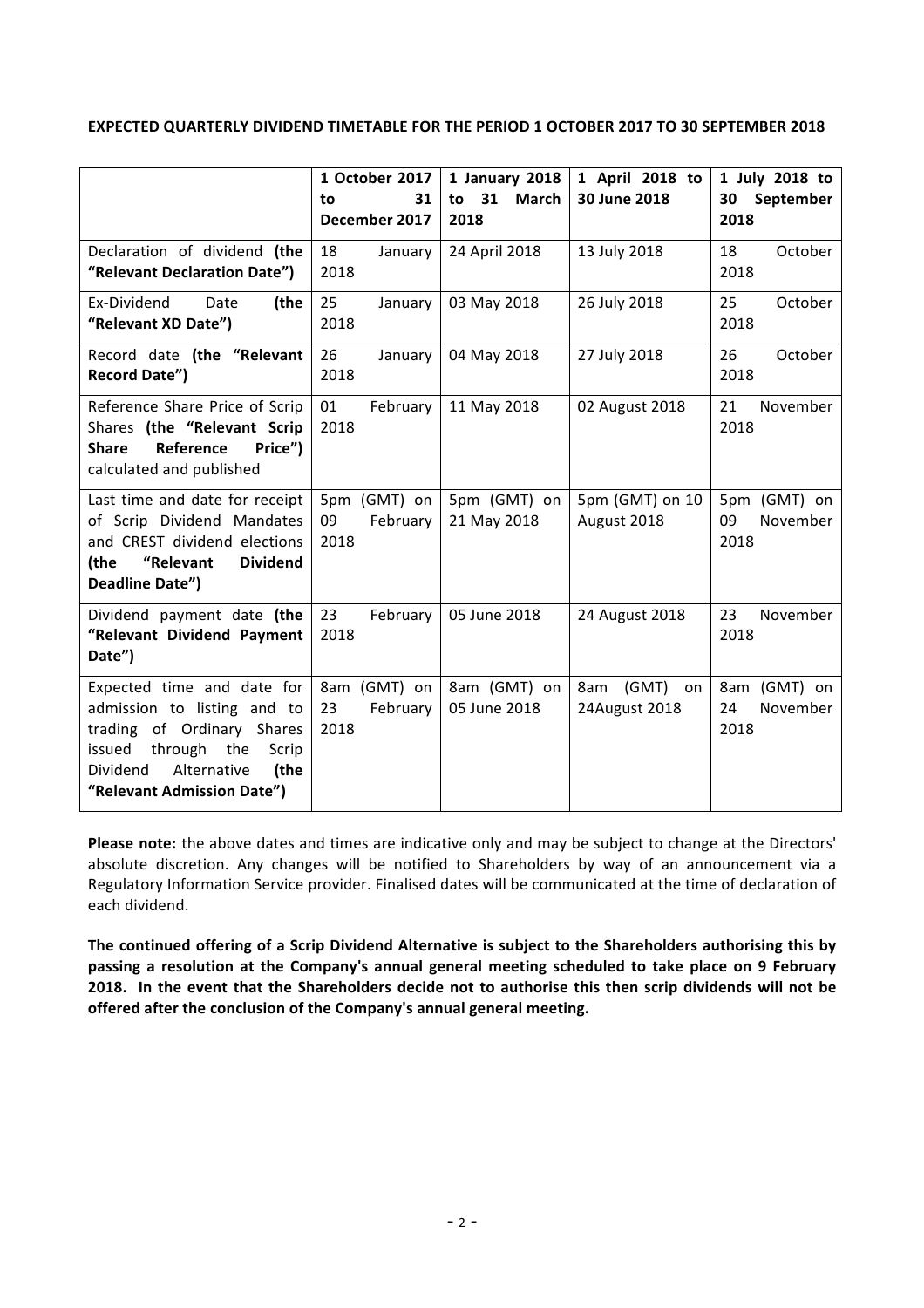### **EXPECTED QUARTERLY DIVIDEND TIMETABLE FOR THE PERIOD 1 OCTOBER 2017 TO 30 SEPTEMBER 2018**

|                                                                                                                                                                                         | 1 October 2017<br>31<br>to<br>December 2017 | 1 January 2018<br>to 31<br>March<br>2018 | 1 April 2018 to<br>30 June 2018     | 1 July 2018 to<br>30<br>September<br>2018 |
|-----------------------------------------------------------------------------------------------------------------------------------------------------------------------------------------|---------------------------------------------|------------------------------------------|-------------------------------------|-------------------------------------------|
| Declaration of dividend (the<br>"Relevant Declaration Date")                                                                                                                            | 18<br>January<br>2018                       | 24 April 2018                            | 13 July 2018                        | 18<br>October<br>2018                     |
| Ex-Dividend<br>Date<br>(the<br>"Relevant XD Date")                                                                                                                                      | 25<br>January<br>2018                       | 03 May 2018                              | 26 July 2018                        | 25<br>October<br>2018                     |
| Record date (the "Relevant<br><b>Record Date")</b>                                                                                                                                      | 26<br>January<br>2018                       | 04 May 2018                              | 27 July 2018                        | 26<br>October<br>2018                     |
| Reference Share Price of Scrip<br>Shares (the "Relevant Scrip<br>Reference<br><b>Share</b><br>Price")<br>calculated and published                                                       | 01<br>February<br>2018                      | 11 May 2018                              | 02 August 2018                      | 21<br>November<br>2018                    |
| Last time and date for receipt<br>of Scrip Dividend Mandates<br>and CREST dividend elections<br>"Relevant<br><b>Dividend</b><br>(the<br>Deadline Date")                                 | 5pm (GMT) on<br>February<br>09<br>2018      | 5pm (GMT) on<br>21 May 2018              | 5pm (GMT) on 10<br>August 2018      | 5pm (GMT) on<br>09<br>November<br>2018    |
| Dividend payment date (the<br>"Relevant Dividend Payment<br>Date")                                                                                                                      | 23<br>February<br>2018                      | 05 June 2018                             | 24 August 2018                      | 23<br>November<br>2018                    |
| Expected time and date for<br>admission to listing and to<br>trading of Ordinary Shares<br>issued through the<br>Scrip<br>Alternative<br>Dividend<br>(the<br>"Relevant Admission Date") | 8am (GMT) on<br>23<br>February<br>2018      | 8am (GMT) on<br>05 June 2018             | 8am<br>(GMT)<br>on<br>24August 2018 | 8am (GMT) on<br>24<br>November<br>2018    |

Please note: the above dates and times are indicative only and may be subject to change at the Directors' absolute discretion. Any changes will be notified to Shareholders by way of an announcement via a Regulatory Information Service provider. Finalised dates will be communicated at the time of declaration of each dividend.

The continued offering of a Scrip Dividend Alternative is subject to the Shareholders authorising this by passing a resolution at the Company's annual general meeting scheduled to take place on 9 February **2018.** In the event that the Shareholders decide not to authorise this then scrip dividends will not be offered after the conclusion of the Company's annual general meeting.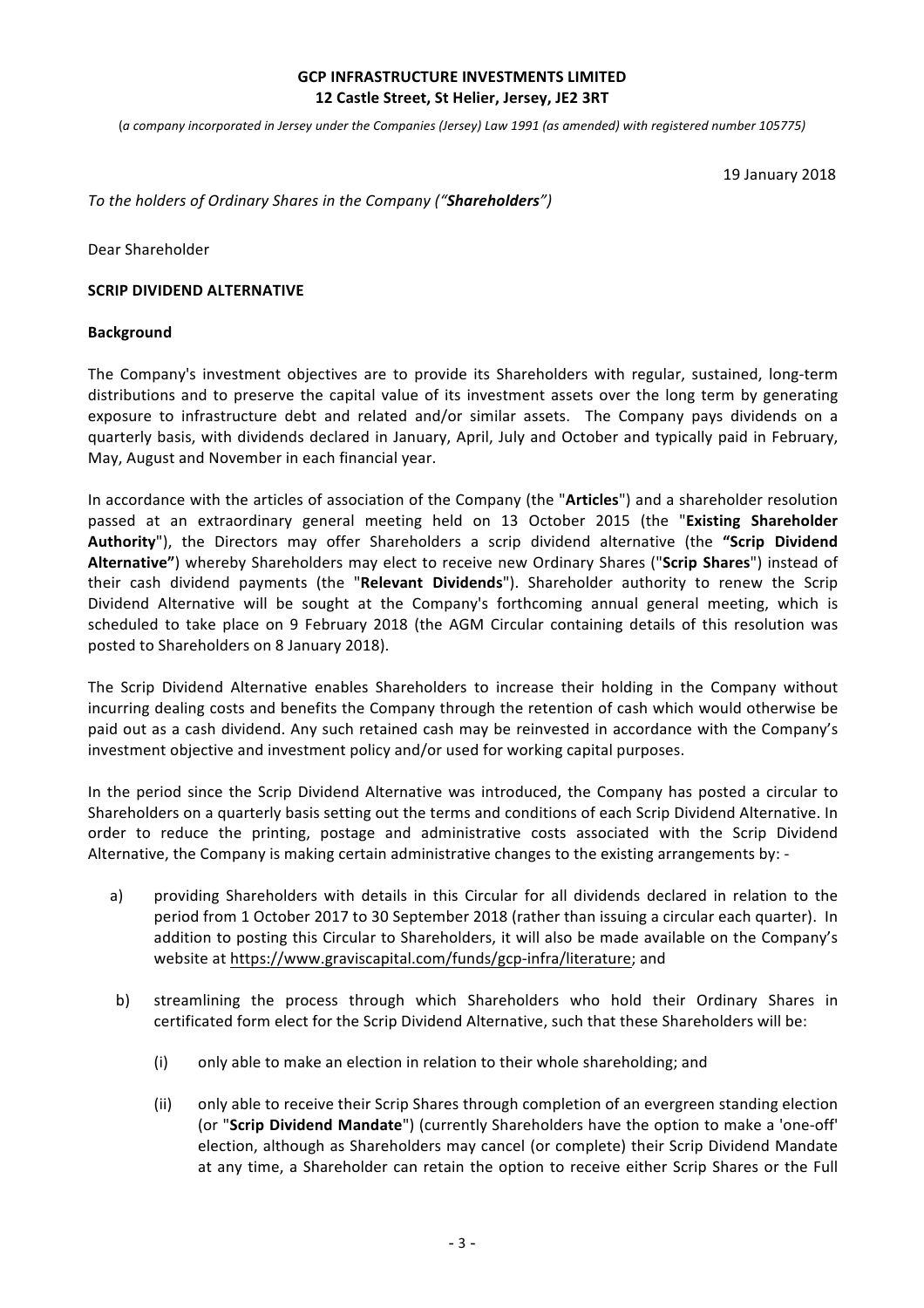### **GCP INFRASTRUCTURE INVESTMENTS LIMITED 12 Castle Street, St Helier, Jersey, JE2 3RT**

(*a company incorporated in Jersey under the Companies (Jersey) Law 1991 (as amended) with registered number 105775)* 

19 January 2018

#### *To the holders of Ordinary Shares in the Company ("Shareholders")*

Dear Shareholder

#### **SCRIP DIVIDEND ALTERNATIVE**

#### **Background**

The Company's investment objectives are to provide its Shareholders with regular, sustained, long-term distributions and to preserve the capital value of its investment assets over the long term by generating exposure to infrastructure debt and related and/or similar assets. The Company pays dividends on a quarterly basis, with dividends declared in January, April, July and October and typically paid in February, May, August and November in each financial year.

In accordance with the articles of association of the Company (the "Articles") and a shareholder resolution passed at an extraordinary general meeting held on 13 October 2015 (the "Existing Shareholder Authority"), the Directors may offer Shareholders a scrip dividend alternative (the "Scrip Dividend Alternative") whereby Shareholders may elect to receive new Ordinary Shares ("Scrip Shares") instead of their cash dividend payments (the "Relevant Dividends"). Shareholder authority to renew the Scrip Dividend Alternative will be sought at the Company's forthcoming annual general meeting, which is scheduled to take place on 9 February 2018 (the AGM Circular containing details of this resolution was posted to Shareholders on 8 January 2018).

The Scrip Dividend Alternative enables Shareholders to increase their holding in the Company without incurring dealing costs and benefits the Company through the retention of cash which would otherwise be paid out as a cash dividend. Any such retained cash may be reinvested in accordance with the Company's investment objective and investment policy and/or used for working capital purposes.

In the period since the Scrip Dividend Alternative was introduced, the Company has posted a circular to Shareholders on a quarterly basis setting out the terms and conditions of each Scrip Dividend Alternative. In order to reduce the printing, postage and administrative costs associated with the Scrip Dividend Alternative, the Company is making certain administrative changes to the existing arrangements by: -

- a) providing Shareholders with details in this Circular for all dividends declared in relation to the period from 1 October 2017 to 30 September 2018 (rather than issuing a circular each quarter). In addition to posting this Circular to Shareholders, it will also be made available on the Company's website at https://www.graviscapital.com/funds/gcp-infra/literature; and
- b) streamlining the process through which Shareholders who hold their Ordinary Shares in certificated form elect for the Scrip Dividend Alternative, such that these Shareholders will be:
	- (i) only able to make an election in relation to their whole shareholding; and
	- (ii) only able to receive their Scrip Shares through completion of an evergreen standing election (or "Scrip Dividend Mandate") (currently Shareholders have the option to make a 'one-off' election, although as Shareholders may cancel (or complete) their Scrip Dividend Mandate at any time, a Shareholder can retain the option to receive either Scrip Shares or the Full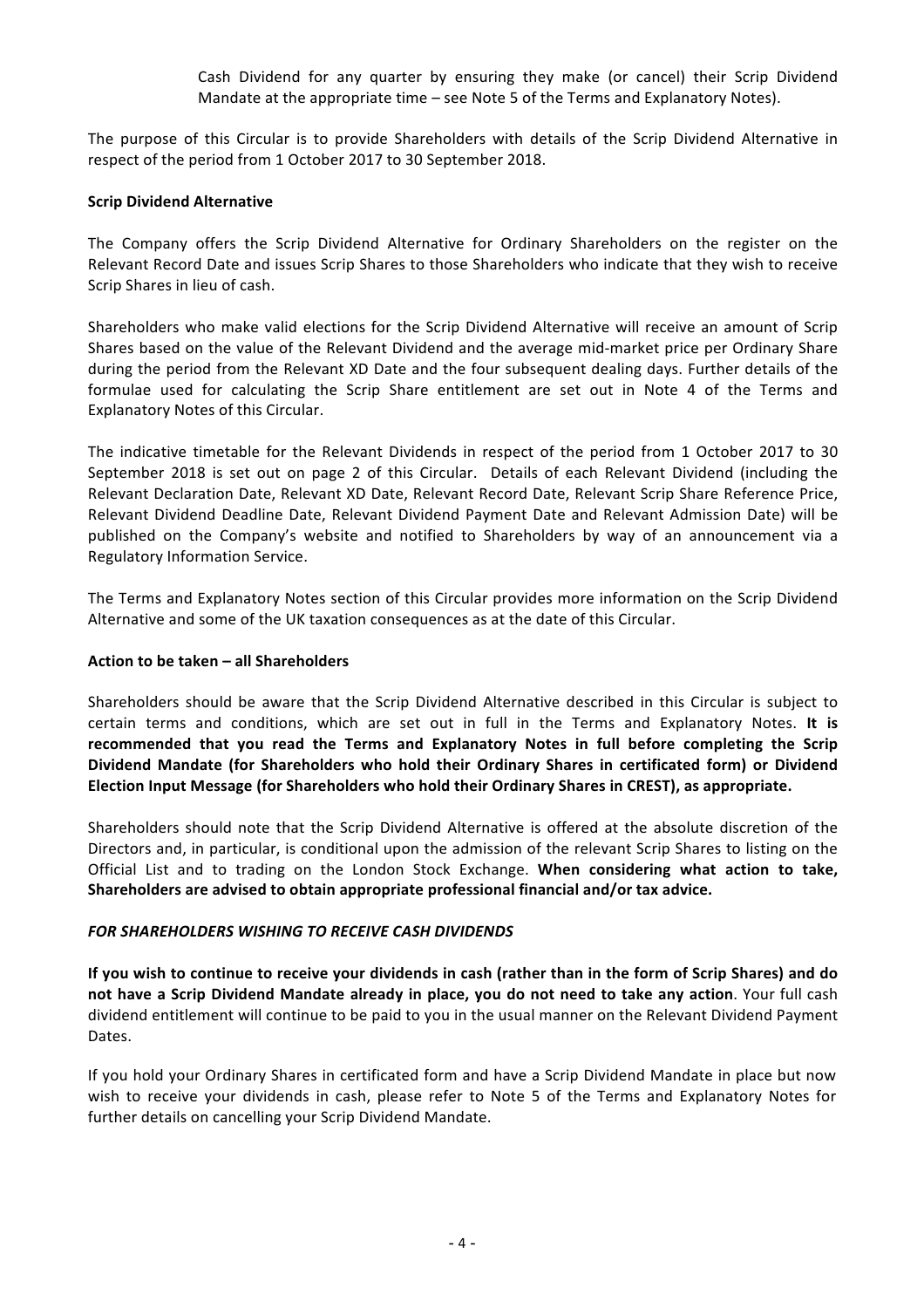Cash Dividend for any quarter by ensuring they make (or cancel) their Scrip Dividend Mandate at the appropriate time – see Note 5 of the Terms and Explanatory Notes).

The purpose of this Circular is to provide Shareholders with details of the Scrip Dividend Alternative in respect of the period from 1 October 2017 to 30 September 2018.

#### **Scrip Dividend Alternative**

The Company offers the Scrip Dividend Alternative for Ordinary Shareholders on the register on the Relevant Record Date and issues Scrip Shares to those Shareholders who indicate that they wish to receive Scrip Shares in lieu of cash.

Shareholders who make valid elections for the Scrip Dividend Alternative will receive an amount of Scrip Shares based on the value of the Relevant Dividend and the average mid-market price per Ordinary Share during the period from the Relevant XD Date and the four subsequent dealing days. Further details of the formulae used for calculating the Scrip Share entitlement are set out in Note 4 of the Terms and Explanatory Notes of this Circular.

The indicative timetable for the Relevant Dividends in respect of the period from 1 October 2017 to 30 September 2018 is set out on page 2 of this Circular. Details of each Relevant Dividend (including the Relevant Declaration Date, Relevant XD Date, Relevant Record Date, Relevant Scrip Share Reference Price, Relevant Dividend Deadline Date, Relevant Dividend Payment Date and Relevant Admission Date) will be published on the Company's website and notified to Shareholders by way of an announcement via a Regulatory Information Service.

The Terms and Explanatory Notes section of this Circular provides more information on the Scrip Dividend Alternative and some of the UK taxation consequences as at the date of this Circular.

#### **Action to be taken – all Shareholders**

Shareholders should be aware that the Scrip Dividend Alternative described in this Circular is subject to certain terms and conditions, which are set out in full in the Terms and Explanatory Notes. It is recommended that you read the Terms and Explanatory Notes in full before completing the Scrip Dividend Mandate (for Shareholders who hold their Ordinary Shares in certificated form) or Dividend Election Input Message (for Shareholders who hold their Ordinary Shares in CREST), as appropriate.

Shareholders should note that the Scrip Dividend Alternative is offered at the absolute discretion of the Directors and, in particular, is conditional upon the admission of the relevant Scrip Shares to listing on the Official List and to trading on the London Stock Exchange. When considering what action to take, Shareholders are advised to obtain appropriate professional financial and/or tax advice.

### **FOR SHAREHOLDERS WISHING TO RECEIVE CASH DIVIDENDS**

**If you wish to continue to receive your dividends in cash (rather than in the form of Scrip Shares) and do not have a Scrip Dividend Mandate already in place, you do not need to take any action. Your full cash** dividend entitlement will continue to be paid to you in the usual manner on the Relevant Dividend Payment Dates.

If you hold your Ordinary Shares in certificated form and have a Scrip Dividend Mandate in place but now wish to receive your dividends in cash, please refer to Note 5 of the Terms and Explanatory Notes for further details on cancelling your Scrip Dividend Mandate.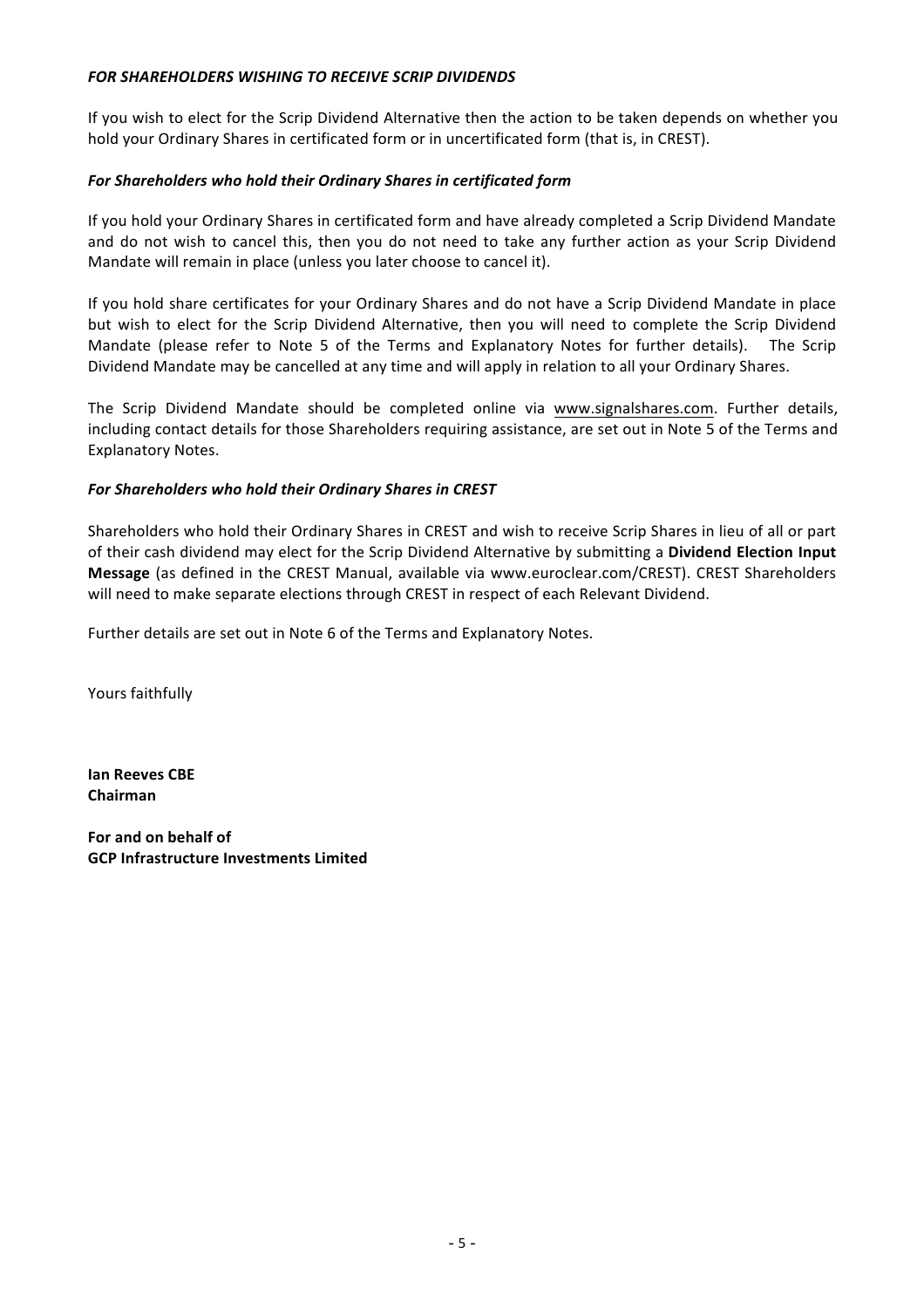## **FOR SHAREHOLDERS WISHING TO RECEIVE SCRIP DIVIDENDS**

If you wish to elect for the Scrip Dividend Alternative then the action to be taken depends on whether you hold your Ordinary Shares in certificated form or in uncertificated form (that is, in CREST).

### *For Shareholders who hold their Ordinary Shares in certificated form*

If you hold your Ordinary Shares in certificated form and have already completed a Scrip Dividend Mandate and do not wish to cancel this, then you do not need to take any further action as your Scrip Dividend Mandate will remain in place (unless you later choose to cancel it).

If you hold share certificates for your Ordinary Shares and do not have a Scrip Dividend Mandate in place but wish to elect for the Scrip Dividend Alternative, then you will need to complete the Scrip Dividend Mandate (please refer to Note 5 of the Terms and Explanatory Notes for further details). The Scrip Dividend Mandate may be cancelled at any time and will apply in relation to all your Ordinary Shares.

The Scrip Dividend Mandate should be completed online via www.signalshares.com. Further details, including contact details for those Shareholders requiring assistance, are set out in Note 5 of the Terms and Explanatory Notes.

## For Shareholders who hold their Ordinary Shares in CREST

Shareholders who hold their Ordinary Shares in CREST and wish to receive Scrip Shares in lieu of all or part of their cash dividend may elect for the Scrip Dividend Alternative by submitting a Dividend Election Input **Message** (as defined in the CREST Manual, available via www.euroclear.com/CREST). CREST Shareholders will need to make separate elections through CREST in respect of each Relevant Dividend.

Further details are set out in Note 6 of the Terms and Explanatory Notes.

Yours faithfully

**Ian Reeves CBE Chairman**

For and on behalf of **GCP Infrastructure Investments Limited**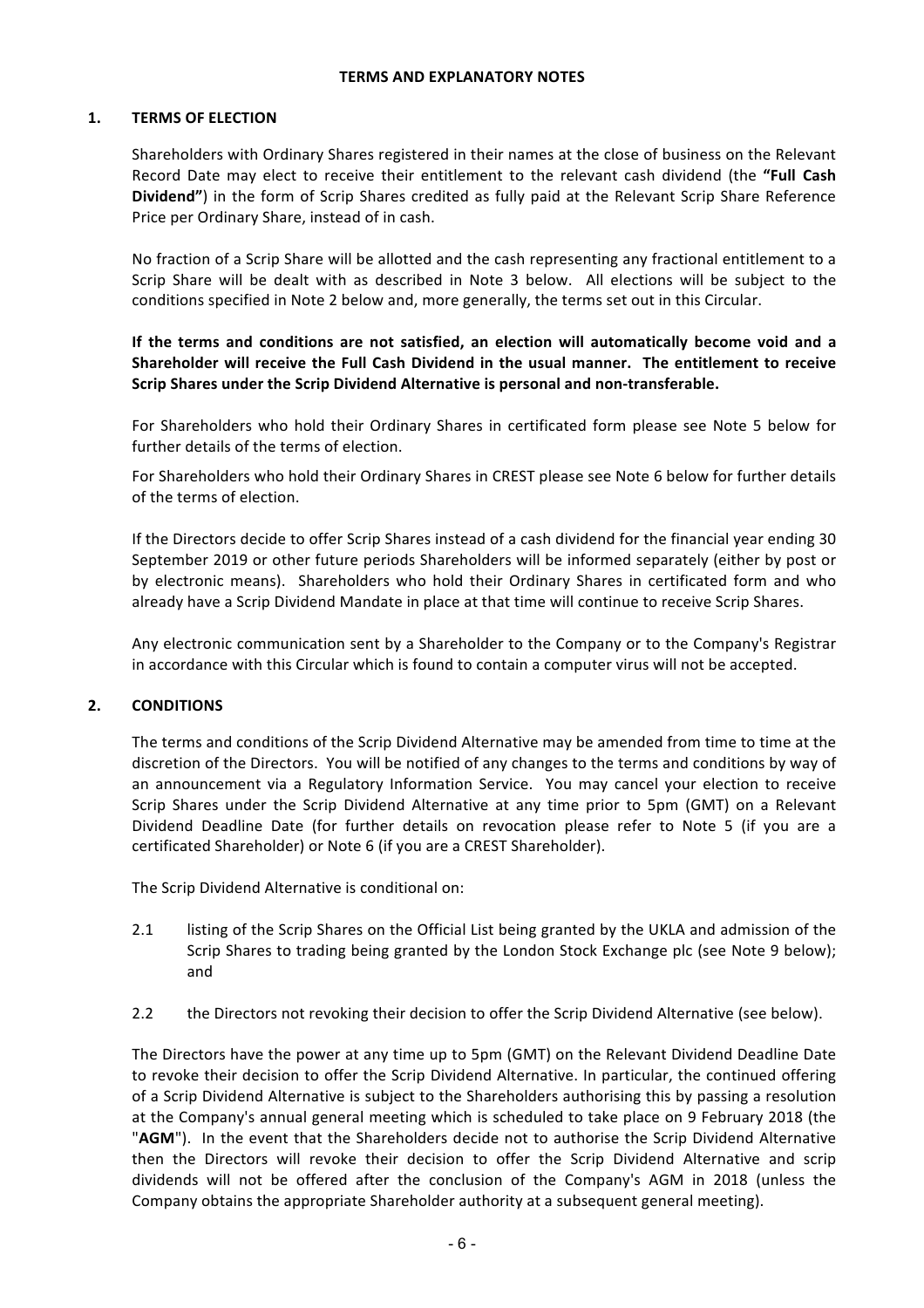#### **TERMS AND EXPLANATORY NOTES**

#### **1. TERMS OF ELECTION**

Shareholders with Ordinary Shares registered in their names at the close of business on the Relevant Record Date may elect to receive their entitlement to the relevant cash dividend (the "Full Cash Dividend") in the form of Scrip Shares credited as fully paid at the Relevant Scrip Share Reference Price per Ordinary Share, instead of in cash.

No fraction of a Scrip Share will be allotted and the cash representing any fractional entitlement to a Scrip Share will be dealt with as described in Note 3 below. All elections will be subject to the conditions specified in Note 2 below and, more generally, the terms set out in this Circular.

If the terms and conditions are not satisfied, an election will automatically become void and a Shareholder will receive the Full Cash Dividend in the usual manner. The entitlement to receive Scrip Shares under the Scrip Dividend Alternative is personal and non-transferable.

For Shareholders who hold their Ordinary Shares in certificated form please see Note 5 below for further details of the terms of election.

For Shareholders who hold their Ordinary Shares in CREST please see Note 6 below for further details of the terms of election.

If the Directors decide to offer Scrip Shares instead of a cash dividend for the financial year ending 30 September 2019 or other future periods Shareholders will be informed separately (either by post or by electronic means). Shareholders who hold their Ordinary Shares in certificated form and who already have a Scrip Dividend Mandate in place at that time will continue to receive Scrip Shares.

Any electronic communication sent by a Shareholder to the Company or to the Company's Registrar in accordance with this Circular which is found to contain a computer virus will not be accepted.

### **2. CONDITIONS**

The terms and conditions of the Scrip Dividend Alternative may be amended from time to time at the discretion of the Directors. You will be notified of any changes to the terms and conditions by way of an announcement via a Regulatory Information Service. You may cancel your election to receive Scrip Shares under the Scrip Dividend Alternative at any time prior to 5pm (GMT) on a Relevant Dividend Deadline Date (for further details on revocation please refer to Note 5 (if you are a certificated Shareholder) or Note 6 (if you are a CREST Shareholder).

The Scrip Dividend Alternative is conditional on:

- 2.1 listing of the Scrip Shares on the Official List being granted by the UKLA and admission of the Scrip Shares to trading being granted by the London Stock Exchange plc (see Note 9 below); and
- 2.2 the Directors not revoking their decision to offer the Scrip Dividend Alternative (see below).

The Directors have the power at any time up to 5pm (GMT) on the Relevant Dividend Deadline Date to revoke their decision to offer the Scrip Dividend Alternative. In particular, the continued offering of a Scrip Dividend Alternative is subject to the Shareholders authorising this by passing a resolution at the Company's annual general meeting which is scheduled to take place on 9 February 2018 (the "AGM"). In the event that the Shareholders decide not to authorise the Scrip Dividend Alternative then the Directors will revoke their decision to offer the Scrip Dividend Alternative and scrip dividends will not be offered after the conclusion of the Company's AGM in 2018 (unless the Company obtains the appropriate Shareholder authority at a subsequent general meeting).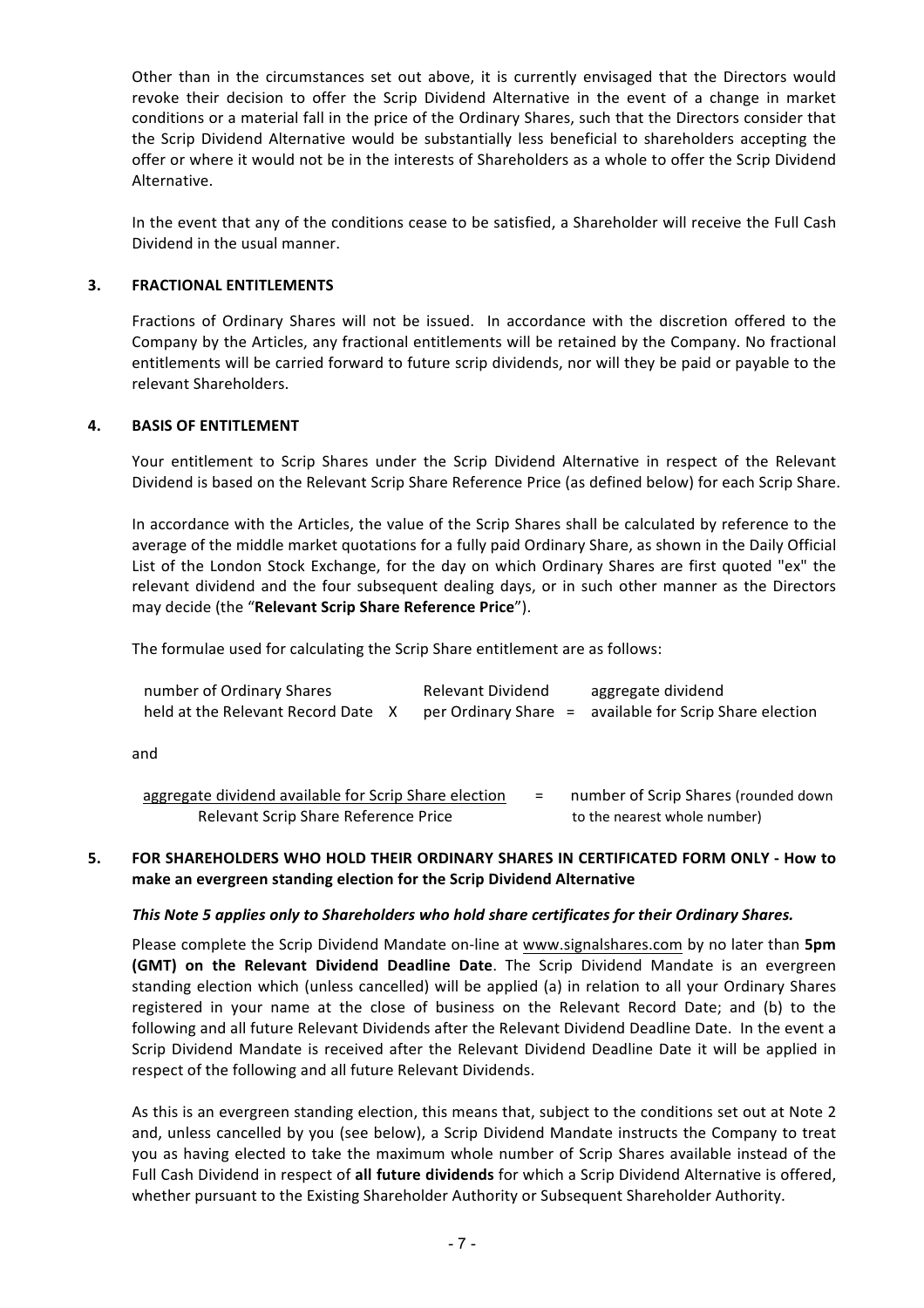Other than in the circumstances set out above, it is currently envisaged that the Directors would revoke their decision to offer the Scrip Dividend Alternative in the event of a change in market conditions or a material fall in the price of the Ordinary Shares, such that the Directors consider that the Scrip Dividend Alternative would be substantially less beneficial to shareholders accepting the offer or where it would not be in the interests of Shareholders as a whole to offer the Scrip Dividend Alternative. 

In the event that any of the conditions cease to be satisfied, a Shareholder will receive the Full Cash Dividend in the usual manner.

### **3. FRACTIONAL ENTITLEMENTS**

Fractions of Ordinary Shares will not be issued. In accordance with the discretion offered to the Company by the Articles, any fractional entitlements will be retained by the Company. No fractional entitlements will be carried forward to future scrip dividends, nor will they be paid or payable to the relevant Shareholders.

#### **4. BASIS OF ENTITLEMENT**

Your entitlement to Scrip Shares under the Scrip Dividend Alternative in respect of the Relevant Dividend is based on the Relevant Scrip Share Reference Price (as defined below) for each Scrip Share.

In accordance with the Articles, the value of the Scrip Shares shall be calculated by reference to the average of the middle market quotations for a fully paid Ordinary Share, as shown in the Daily Official List of the London Stock Exchange, for the day on which Ordinary Shares are first quoted "ex" the relevant dividend and the four subsequent dealing days, or in such other manner as the Directors may decide (the "Relevant Scrip Share Reference Price").

The formulae used for calculating the Scrip Share entitlement are as follows:

| number of Ordinary Shares          | Relevant Dividend | aggregate dividend                                      |
|------------------------------------|-------------------|---------------------------------------------------------|
| held at the Relevant Record Date X |                   | per Ordinary Share = available for Scrip Share election |

and

| aggregate dividend available for Scrip Share election | number of Scrip Shares (rounded down |
|-------------------------------------------------------|--------------------------------------|
| Relevant Scrip Share Reference Price                  | to the nearest whole number)         |

### 5. FOR SHAREHOLDERS WHO HOLD THEIR ORDINARY SHARES IN CERTIFICATED FORM ONLY - How to make an evergreen standing election for the Scrip Dividend Alternative

#### This Note 5 applies only to Shareholders who hold share certificates for their Ordinary Shares.

Please complete the Scrip Dividend Mandate on-line at www.signalshares.com by no later than **5pm (GMT)** on the Relevant Dividend Deadline Date. The Scrip Dividend Mandate is an evergreen standing election which (unless cancelled) will be applied (a) in relation to all your Ordinary Shares registered in your name at the close of business on the Relevant Record Date; and (b) to the following and all future Relevant Dividends after the Relevant Dividend Deadline Date. In the event a Scrip Dividend Mandate is received after the Relevant Dividend Deadline Date it will be applied in respect of the following and all future Relevant Dividends.

As this is an evergreen standing election, this means that, subject to the conditions set out at Note 2 and, unless cancelled by you (see below), a Scrip Dividend Mandate instructs the Company to treat you as having elected to take the maximum whole number of Scrip Shares available instead of the Full Cash Dividend in respect of all future dividends for which a Scrip Dividend Alternative is offered, whether pursuant to the Existing Shareholder Authority or Subsequent Shareholder Authority.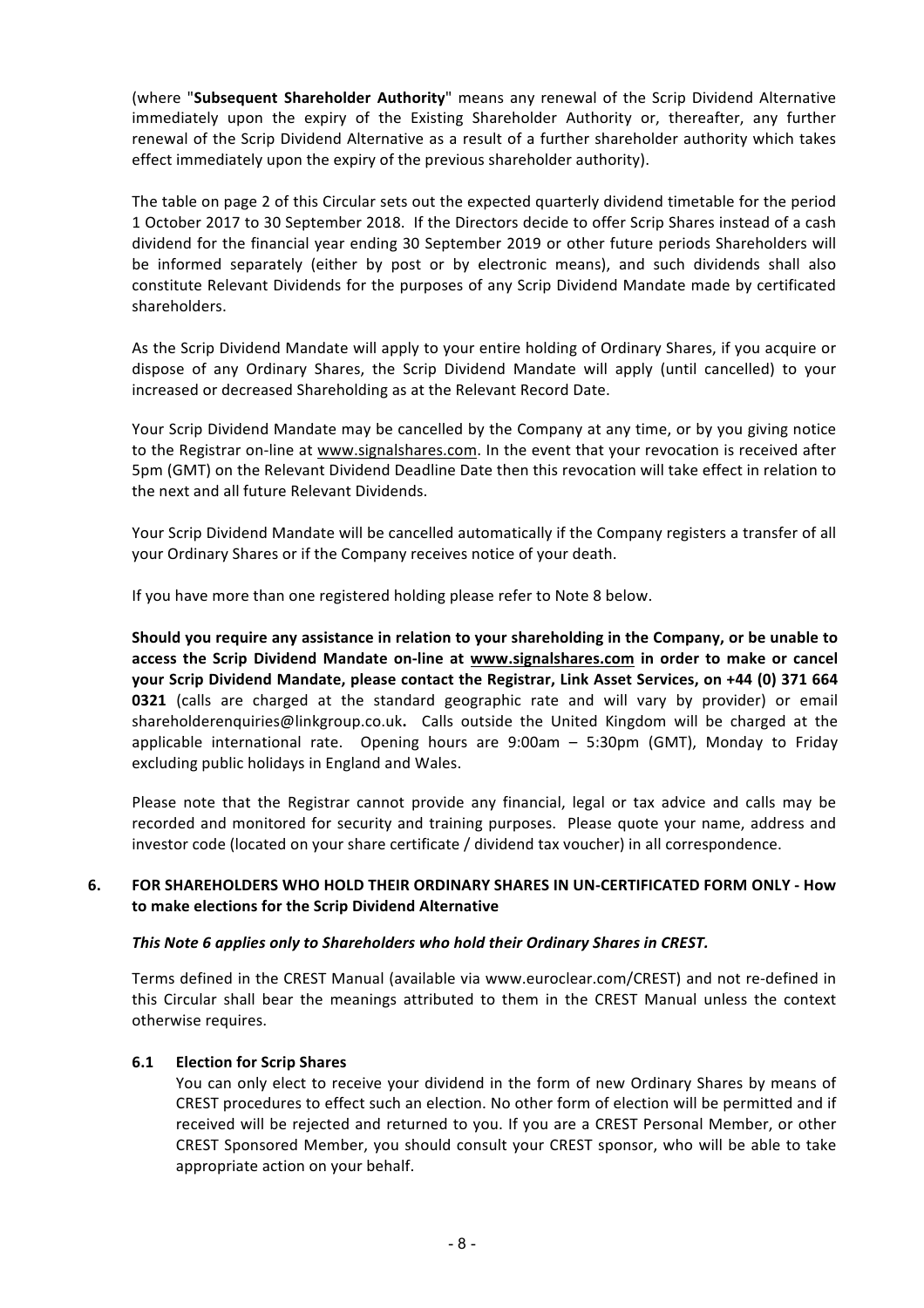(where "Subsequent Shareholder Authority" means any renewal of the Scrip Dividend Alternative immediately upon the expiry of the Existing Shareholder Authority or, thereafter, any further renewal of the Scrip Dividend Alternative as a result of a further shareholder authority which takes effect immediately upon the expiry of the previous shareholder authority).

The table on page 2 of this Circular sets out the expected quarterly dividend timetable for the period 1 October 2017 to 30 September 2018. If the Directors decide to offer Scrip Shares instead of a cash dividend for the financial year ending 30 September 2019 or other future periods Shareholders will be informed separately (either by post or by electronic means), and such dividends shall also constitute Relevant Dividends for the purposes of any Scrip Dividend Mandate made by certificated shareholders.

As the Scrip Dividend Mandate will apply to your entire holding of Ordinary Shares, if you acquire or dispose of any Ordinary Shares, the Scrip Dividend Mandate will apply (until cancelled) to your increased or decreased Shareholding as at the Relevant Record Date.

Your Scrip Dividend Mandate may be cancelled by the Company at any time, or by you giving notice to the Registrar on-line at www.signalshares.com. In the event that your revocation is received after 5pm (GMT) on the Relevant Dividend Deadline Date then this revocation will take effect in relation to the next and all future Relevant Dividends.

Your Scrip Dividend Mandate will be cancelled automatically if the Company registers a transfer of all your Ordinary Shares or if the Company receives notice of your death.

If you have more than one registered holding please refer to Note 8 below.

Should you require any assistance in relation to your shareholding in the Company, or be unable to **access the Scrip Dividend Mandate on-line at www.signalshares.com in order to make or cancel your Scrip Dividend Mandate, please contact the Registrar, Link Asset Services, on +44 (0) 371 664 0321** (calls are charged at the standard geographic rate and will vary by provider) or email shareholderenquiries@linkgroup.co.uk. Calls outside the United Kingdom will be charged at the applicable international rate. Opening hours are  $9:00$ am  $-5:30$ pm (GMT), Monday to Friday excluding public holidays in England and Wales.

Please note that the Registrar cannot provide any financial, legal or tax advice and calls may be recorded and monitored for security and training purposes. Please quote your name, address and investor code (located on your share certificate / dividend tax voucher) in all correspondence.

## **6.** FOR SHAREHOLDERS WHO HOLD THEIR ORDINARY SHARES IN UN-CERTIFICATED FORM ONLY - How **to make elections for the Scrip Dividend Alternative**

# This Note 6 applies only to Shareholders who hold their Ordinary Shares in CREST.

Terms defined in the CREST Manual (available via www.euroclear.com/CREST) and not re-defined in this Circular shall bear the meanings attributed to them in the CREST Manual unless the context otherwise requires.

# **6.1 Election for Scrip Shares**

You can only elect to receive your dividend in the form of new Ordinary Shares by means of CREST procedures to effect such an election. No other form of election will be permitted and if received will be rejected and returned to you. If you are a CREST Personal Member, or other CREST Sponsored Member, you should consult your CREST sponsor, who will be able to take appropriate action on your behalf.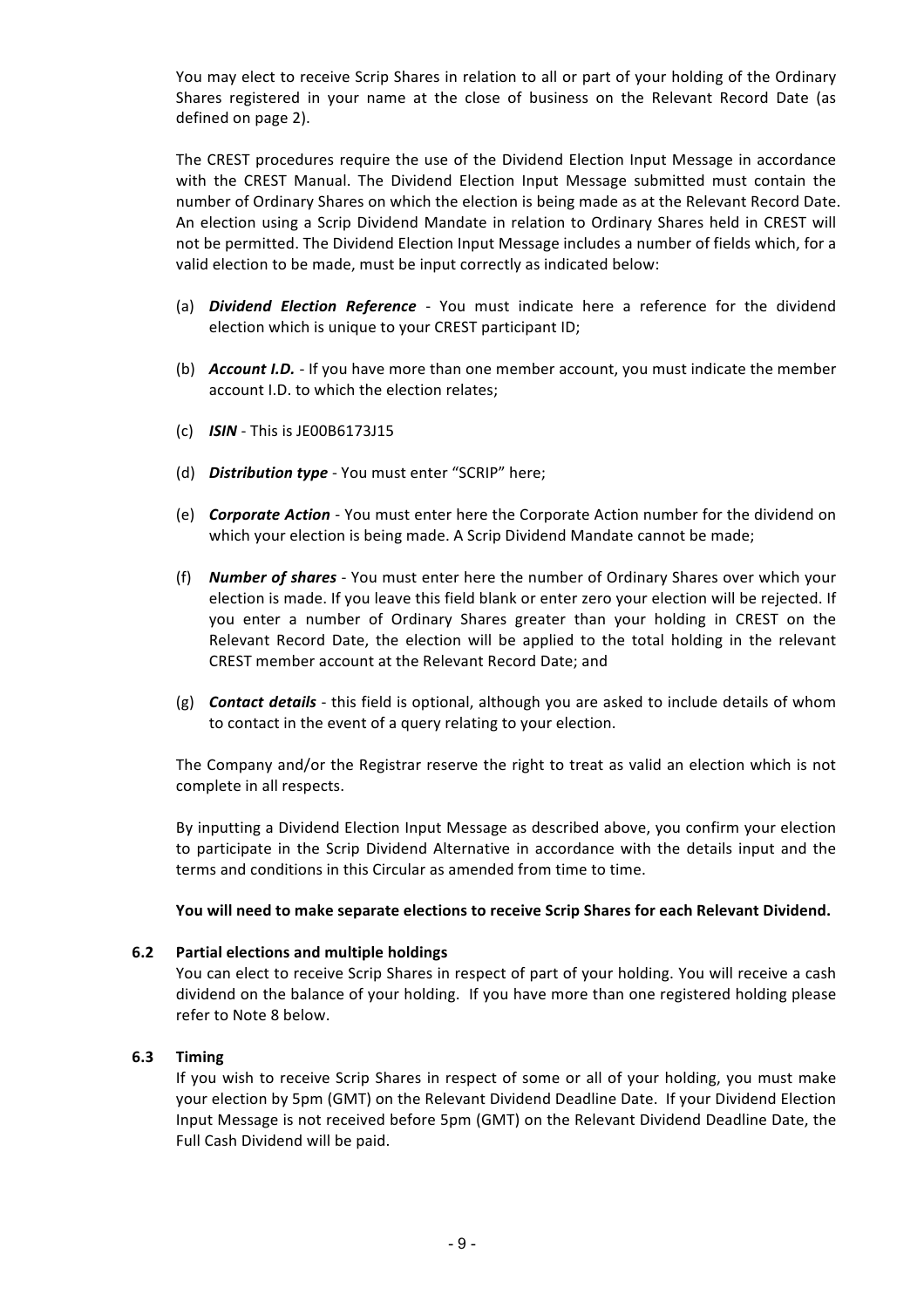You may elect to receive Scrip Shares in relation to all or part of your holding of the Ordinary Shares registered in your name at the close of business on the Relevant Record Date (as defined on page 2).

The CREST procedures require the use of the Dividend Election Input Message in accordance with the CREST Manual. The Dividend Election Input Message submitted must contain the number of Ordinary Shares on which the election is being made as at the Relevant Record Date. An election using a Scrip Dividend Mandate in relation to Ordinary Shares held in CREST will not be permitted. The Dividend Election Input Message includes a number of fields which, for a valid election to be made, must be input correctly as indicated below:

- (a) **Dividend Election Reference** You must indicate here a reference for the dividend election which is unique to your CREST participant ID;
- (b) **Account I.D.** If you have more than one member account, you must indicate the member account I.D. to which the election relates;
- (c) **ISIN** This is JE00B6173J15
- (d) *Distribution type* You must enter "SCRIP" here;
- (e) **Corporate Action** You must enter here the Corporate Action number for the dividend on which your election is being made. A Scrip Dividend Mandate cannot be made;
- (f) **Number of shares** You must enter here the number of Ordinary Shares over which your election is made. If you leave this field blank or enter zero your election will be rejected. If you enter a number of Ordinary Shares greater than your holding in CREST on the Relevant Record Date, the election will be applied to the total holding in the relevant CREST member account at the Relevant Record Date; and
- (g) **Contact details** this field is optional, although you are asked to include details of whom to contact in the event of a query relating to your election.

The Company and/or the Registrar reserve the right to treat as valid an election which is not complete in all respects.

By inputting a Dividend Election Input Message as described above, you confirm your election to participate in the Scrip Dividend Alternative in accordance with the details input and the terms and conditions in this Circular as amended from time to time.

### You will need to make separate elections to receive Scrip Shares for each Relevant Dividend.

### **6.2 Partial elections and multiple holdings**

You can elect to receive Scrip Shares in respect of part of your holding. You will receive a cash dividend on the balance of your holding. If you have more than one registered holding please refer to Note 8 below.

### **6.3 Timing**

If you wish to receive Scrip Shares in respect of some or all of your holding, you must make your election by 5pm (GMT) on the Relevant Dividend Deadline Date. If your Dividend Election Input Message is not received before 5pm (GMT) on the Relevant Dividend Deadline Date, the Full Cash Dividend will be paid.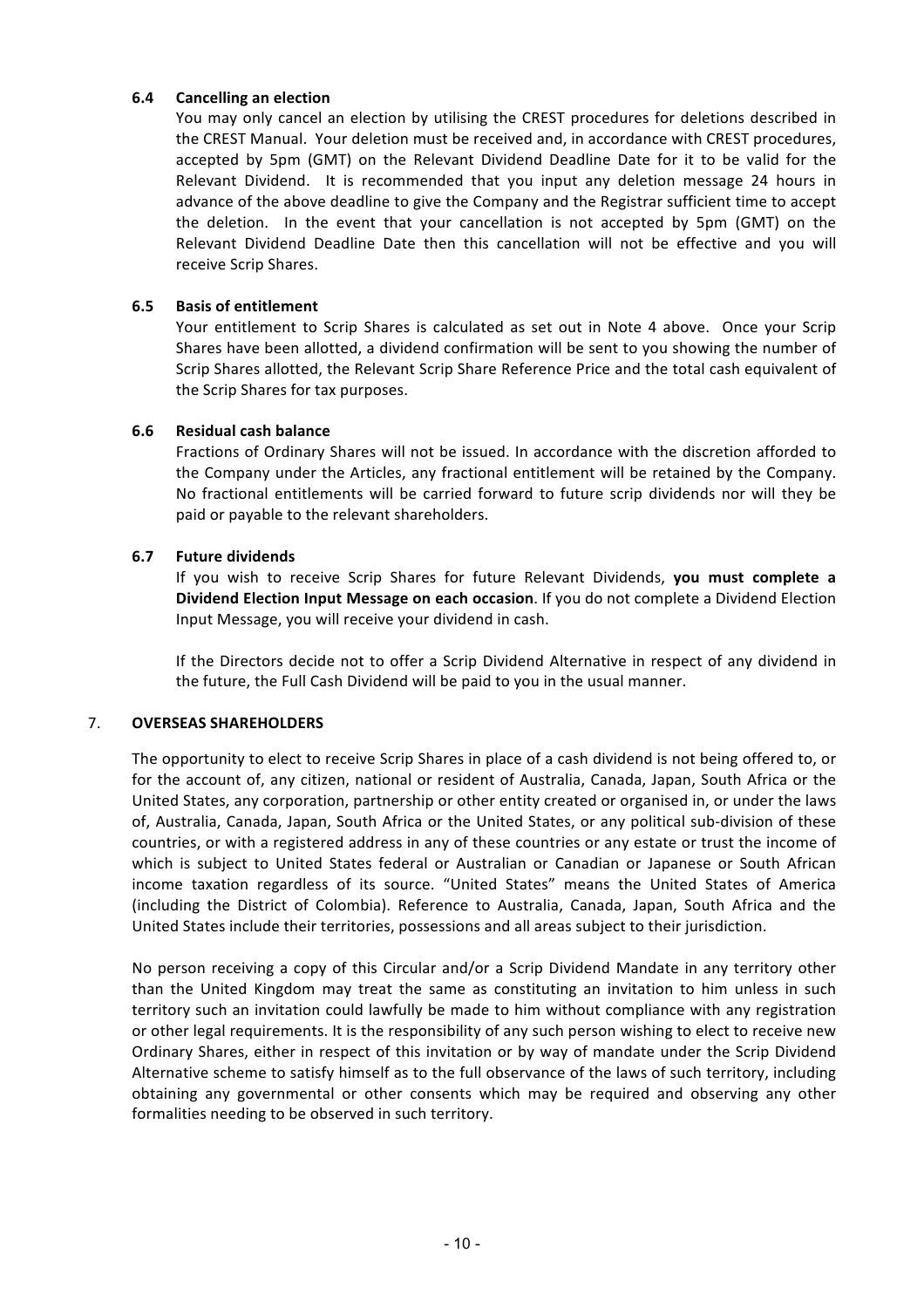### **6.4 Cancelling an election**

You may only cancel an election by utilising the CREST procedures for deletions described in the CREST Manual. Your deletion must be received and, in accordance with CREST procedures, accepted by 5pm (GMT) on the Relevant Dividend Deadline Date for it to be valid for the Relevant Dividend. It is recommended that you input any deletion message 24 hours in advance of the above deadline to give the Company and the Registrar sufficient time to accept the deletion. In the event that your cancellation is not accepted by 5pm (GMT) on the Relevant Dividend Deadline Date then this cancellation will not be effective and you will receive Scrip Shares.

# **6.5 Basis of entitlement**

Your entitlement to Scrip Shares is calculated as set out in Note 4 above. Once your Scrip Shares have been allotted, a dividend confirmation will be sent to you showing the number of Scrip Shares allotted, the Relevant Scrip Share Reference Price and the total cash equivalent of the Scrip Shares for tax purposes.

## **6.6 Residual cash balance**

Fractions of Ordinary Shares will not be issued. In accordance with the discretion afforded to the Company under the Articles, any fractional entitlement will be retained by the Company. No fractional entitlements will be carried forward to future scrip dividends nor will they be paid or payable to the relevant shareholders.

## **6.7 Future dividends**

If you wish to receive Scrip Shares for future Relevant Dividends, you must complete a **Dividend Election Input Message on each occasion**. If you do not complete a Dividend Election Input Message, you will receive your dividend in cash.

If the Directors decide not to offer a Scrip Dividend Alternative in respect of any dividend in the future, the Full Cash Dividend will be paid to you in the usual manner.

### 7. **OVERSEAS SHAREHOLDERS**

The opportunity to elect to receive Scrip Shares in place of a cash dividend is not being offered to, or for the account of, any citizen, national or resident of Australia, Canada, Japan, South Africa or the United States, any corporation, partnership or other entity created or organised in, or under the laws of, Australia, Canada, Japan, South Africa or the United States, or any political sub-division of these countries, or with a registered address in any of these countries or any estate or trust the income of which is subject to United States federal or Australian or Canadian or Japanese or South African income taxation regardless of its source. "United States" means the United States of America (including the District of Colombia). Reference to Australia, Canada, Japan, South Africa and the United States include their territories, possessions and all areas subject to their jurisdiction.

No person receiving a copy of this Circular and/or a Scrip Dividend Mandate in any territory other than the United Kingdom may treat the same as constituting an invitation to him unless in such territory such an invitation could lawfully be made to him without compliance with any registration or other legal requirements. It is the responsibility of any such person wishing to elect to receive new Ordinary Shares, either in respect of this invitation or by way of mandate under the Scrip Dividend Alternative scheme to satisfy himself as to the full observance of the laws of such territory, including obtaining any governmental or other consents which may be required and observing any other formalities needing to be observed in such territory.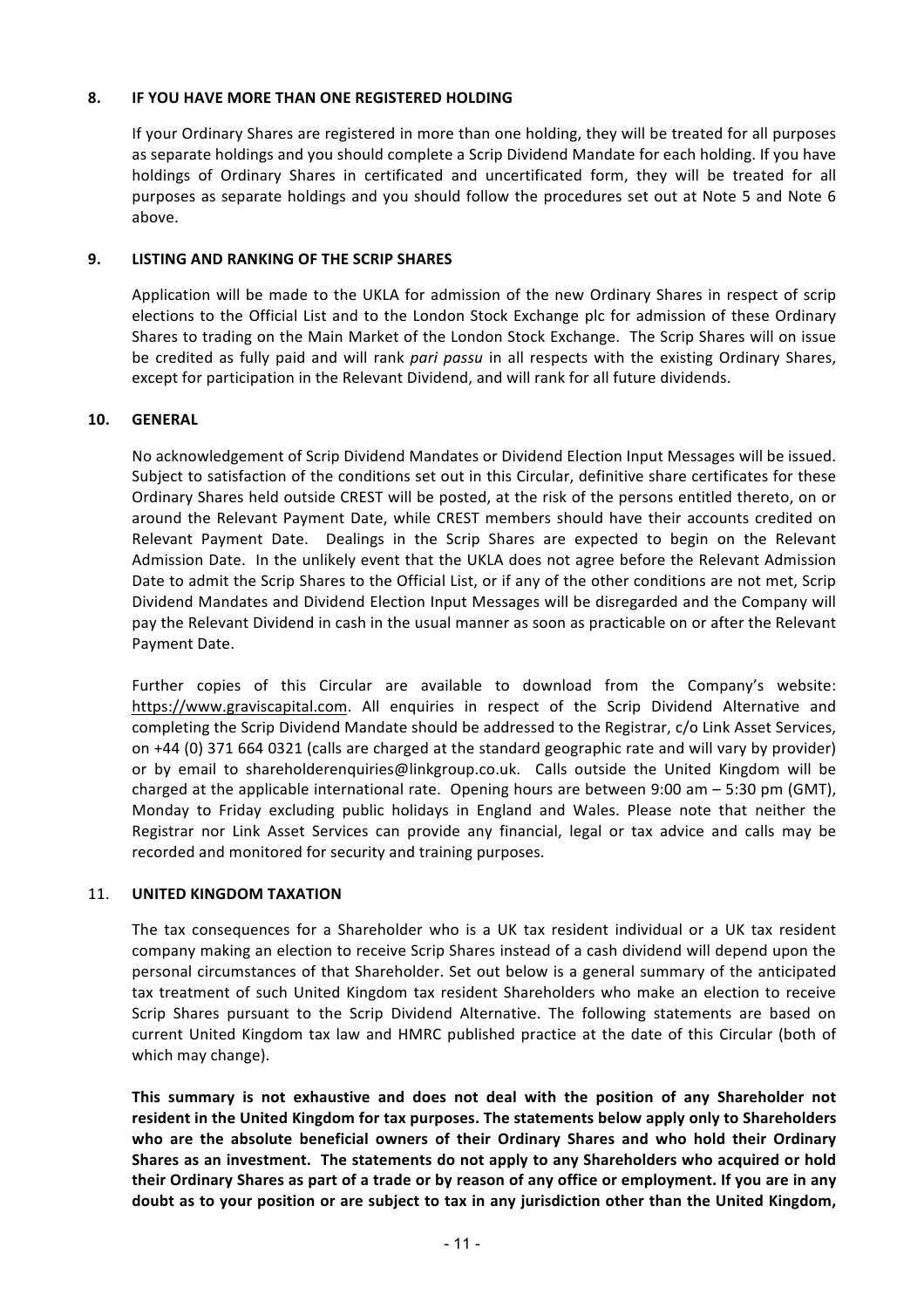### **8. IF YOU HAVE MORE THAN ONE REGISTERED HOLDING**

If your Ordinary Shares are registered in more than one holding, they will be treated for all purposes as separate holdings and you should complete a Scrip Dividend Mandate for each holding. If you have holdings of Ordinary Shares in certificated and uncertificated form, they will be treated for all purposes as separate holdings and you should follow the procedures set out at Note 5 and Note 6 above.

## **9. LISTING AND RANKING OF THE SCRIP SHARES**

Application will be made to the UKLA for admission of the new Ordinary Shares in respect of scrip elections to the Official List and to the London Stock Exchange plc for admission of these Ordinary Shares to trading on the Main Market of the London Stock Exchange. The Scrip Shares will on issue be credited as fully paid and will rank *pari passu* in all respects with the existing Ordinary Shares, except for participation in the Relevant Dividend, and will rank for all future dividends.

## **10. GENERAL**

No acknowledgement of Scrip Dividend Mandates or Dividend Election Input Messages will be issued. Subject to satisfaction of the conditions set out in this Circular, definitive share certificates for these Ordinary Shares held outside CREST will be posted, at the risk of the persons entitled thereto, on or around the Relevant Payment Date, while CREST members should have their accounts credited on Relevant Payment Date. Dealings in the Scrip Shares are expected to begin on the Relevant Admission Date. In the unlikely event that the UKLA does not agree before the Relevant Admission Date to admit the Scrip Shares to the Official List, or if any of the other conditions are not met, Scrip Dividend Mandates and Dividend Election Input Messages will be disregarded and the Company will pay the Relevant Dividend in cash in the usual manner as soon as practicable on or after the Relevant Payment Date.

Further copies of this Circular are available to download from the Company's website: [https://www.graviscapital.com.](https://www.graviscapital.com/) All enquiries in respect of the Scrip Dividend Alternative and completing the Scrip Dividend Mandate should be addressed to the Registrar, c/o Link Asset Services, on +44 (0) 371 664 0321 (calls are charged at the standard geographic rate and will vary by provider) or by email to shareholderenquiries@linkgroup.co.uk. Calls outside the United Kingdom will be charged at the applicable international rate. Opening hours are between  $9:00$  am  $-5:30$  pm (GMT), Monday to Friday excluding public holidays in England and Wales. Please note that neither the Registrar nor Link Asset Services can provide any financial, legal or tax advice and calls may be recorded and monitored for security and training purposes.

### **11. UNITED KINGDOM TAXATION**

The tax consequences for a Shareholder who is a UK tax resident individual or a UK tax resident company making an election to receive Scrip Shares instead of a cash dividend will depend upon the personal circumstances of that Shareholder. Set out below is a general summary of the anticipated tax treatment of such United Kingdom tax resident Shareholders who make an election to receive Scrip Shares pursuant to the Scrip Dividend Alternative. The following statements are based on current United Kingdom tax law and HMRC published practice at the date of this Circular (both of which may change).

This summary is not exhaustive and does not deal with the position of any Shareholder not resident in the United Kingdom for tax purposes. The statements below apply only to Shareholders who are the absolute beneficial owners of their Ordinary Shares and who hold their Ordinary Shares as an investment. The statements do not apply to any Shareholders who acquired or hold their Ordinary Shares as part of a trade or by reason of any office or employment. If you are in any doubt as to your position or are subject to tax in any jurisdiction other than the United Kingdom,